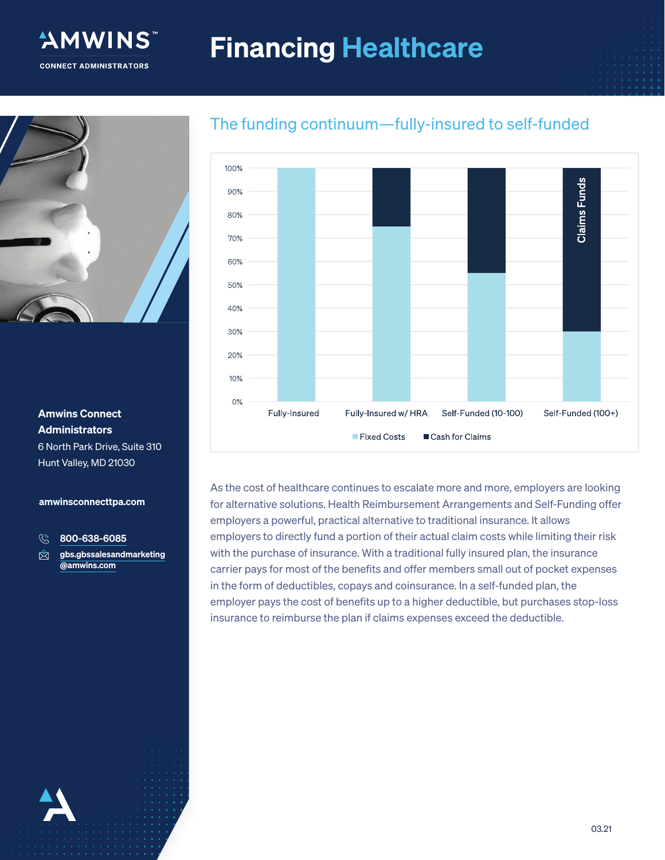# Financing Healthcare



"AMWINS

**CONNECT ADMINISTRATORS** 

#### Amwins Connect Administrators 6 North Park Drive, Suite 310

Hunt Valley, MD 21030

#### amwinsconnecttpa.com

 $\mathbb{G}$ 800-638-6085

gbs.gbssalesandmarketing ♔ @amwins.com

100% **Claims Funds** 90% 80% 70% 60% 50%  $40%$ 30% 20% 10% 0% Fully-Insured Fully-Insured w/ HRA Self-Funded (10-100) Self-Funded (100+) Fixed Costs Cash for Claims

As the cost of healthcare continues to escalate more and more, employers are looking for alternative solutions. Health Reimbursement Arrangements and Self-Funding offer employers a powerful, practical alternative to traditional insurance. It allows employers to directly fund a portion of their actual claim costs while limiting their risk with the purchase of insurance. With a traditional fully insured plan, the insurance carrier pays for most of the benefits and offer members small out of pocket expenses in the form of deductibles, copays and coinsurance. In a self-funded plan, the employer pays the cost of benefits up to a higher deductible, but purchases stop-loss insurance to reimburse the plan if claims expenses exceed the deductible.

## The funding continuum—fully-insured to self-funded